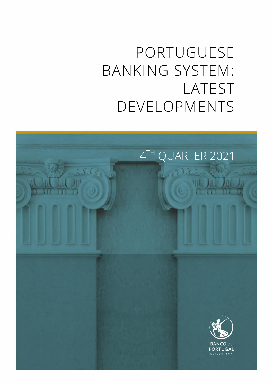# PORTUGUESE BANKING SYSTEM: LATEST DEVELOPMENTS

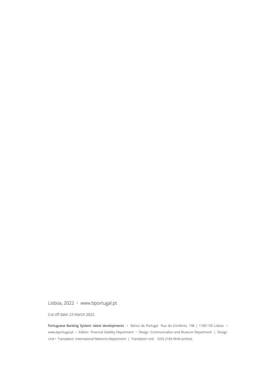### Lisboa, 2022 • [www.bportugal.pt](file://///bdp.pt/dfs/dcm/grupos/DCMPI/Ativo/Publicacoes/Relatorios/Novo%20layout%202018/Template/www.bportugal.pt)

Cut-off date: 23 March 2022.

Portuguese Banking System: latest developments **•** Banco de Portugal Rua do Comércio, 148 | 1100-150 Lisboa **•** www.bportugal.pt **•** Edition Financial Stability Department **•** Design Communication and Museum Department | Design Unit **•** Translation International Relations Department | Translation Unit ISSN 2183-9646 (online)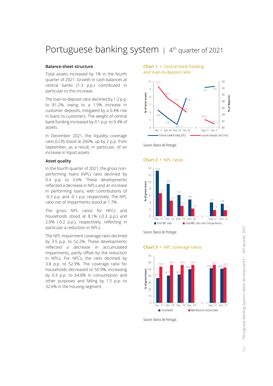## Portuguese banking system | 4<sup>th</sup> quarter of 2021

#### **Balance-sheet structure**

Total assets increased by 1% in the fourth quarter of 2021. Growth in cash balances at central banks (1.3 p.p.) contributed in particular to this increase.

The loan-to-deposit ratio declined by 1.2 p.p. to 81.2%, owing to a 1.9% increase in customer deposits, mitigated by a 0.4% rise in loans to customers. The weight of central bank funding increased by 0.1 p.p. to 9.4% of assets.

In December 2021, the liquidity coverage ratio (LCR) stood at 260%, up by 2 p.p. from September, as a result, in particular, of an increase in liquid assets.

#### **Asset quality**

In the fourth quarter of 2021, the gross nonperforming loans (NPL) ratio declined by 0.4 p.p. to 3.6%. These developments reflected a decrease in NPLs and an increase in performing loans, with contributions of -0.3 p.p. and -0.1 p.p. respectively. The NPL ratio net of impairments stood at 1.7%.

The gross NPL ratios for NFCs and households stood at 8.1% (-0.3 p.p.) and 2.8% (-0.2 p.p.), respectively, reflecting in particular a reduction in NPLs.

The NPL impairment coverage ratio declined by 3.5 p.p. to 52.2%. These developments reflected a decrease in accumulated impairments, partly offset by the reduction in NPLs. For NFCs, the ratio declined by 3.8 p.p. to 52.9%. The coverage ratio for households decreased to 50.9%, increasing by 0.3 p.p. to 64.8% in consumption and other purposes and falling by 1.5 p.p. to 32.6% in the housing segment.

**Chart 1 •** Central bank funding





Source: Banco de Portugal.

#### **Chart 2 •** NPL ratios



Source: Banco de Portugal.

**Chart 3 •** NPL coverage ratios



Source: Banco de Portugal.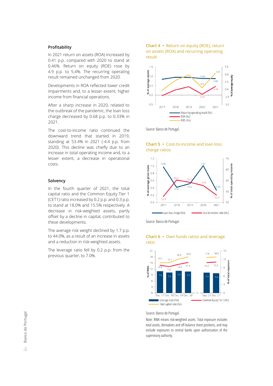#### **Profitability**

In 2021 return on assets (ROA) increased by 0.41 p.p. compared with 2020 to stand at 0.46%. Return on equity (ROE) rose by 4.9 p.p. to 5.4%. The recurring operating result remained unchanged from 2020.

Developments in ROA reflected lower credit impairments and, to a lesser extent, higher income from financial operations.

After a sharp increase in 2020, related to the outbreak of the pandemic, the loan loss charge decreased by 0.68 p.p. to 0.33% in 2021.

The cost-to-income ratio continued the downward trend that started in 2019, standing at 53.4% in 2021 (-4.4 p.p. from 2020). This decline was chiefly due to an increase in total operating income and, to a lesser extent, a decrease in operational costs.

#### **Solvency**

In the fourth quarter of 2021, the total capital ratio and the Common Equity Tier 1 (CET1) ratio increased by 0.2 p.p. and 0.3 p.p. to stand at 18.0% and 15.5% respectively. A decrease in risk-weighted assets, partly offset by a decline in capital, contributed to these developments.

The average risk weight declined by 1.7 p.p. to 44.0%, as a result of an increase in assets and a reduction in risk-weighted assets.

The leverage ratio fell by 0.2 p.p. from the previous quarter, to 7.0%.

#### **Chart 4 •** Return on equity (ROE), return on assets (ROA) and recurring operating result



Source: Banco de Portugal.



**Chart 5 •** Cost-to-income and loan loss charge ratios

Source: Banco de Portugal.



#### **Chart 6 •** Own funds ratios and leverage ratio

Source: Banco de Portugal.

Note: RWA means risk-weighted assets. Total exposure includes total assets, derivatives and off-balance sheet positions, and may exclude exposures to central banks upon authorisation of the supervisory authority.